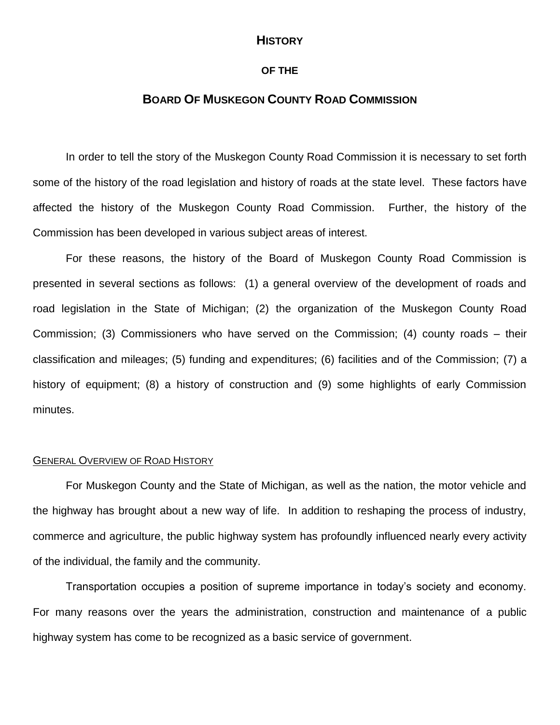# **HISTORY**

## **OF THE**

# **BOARD OF MUSKEGON COUNTY ROAD COMMISSION**

In order to tell the story of the Muskegon County Road Commission it is necessary to set forth some of the history of the road legislation and history of roads at the state level. These factors have affected the history of the Muskegon County Road Commission. Further, the history of the Commission has been developed in various subject areas of interest.

For these reasons, the history of the Board of Muskegon County Road Commission is presented in several sections as follows: (1) a general overview of the development of roads and road legislation in the State of Michigan; (2) the organization of the Muskegon County Road Commission; (3) Commissioners who have served on the Commission; (4) county roads – their classification and mileages; (5) funding and expenditures; (6) facilities and of the Commission; (7) a history of equipment; (8) a history of construction and (9) some highlights of early Commission minutes.

### GENERAL OVERVIEW OF ROAD HISTORY

For Muskegon County and the State of Michigan, as well as the nation, the motor vehicle and the highway has brought about a new way of life. In addition to reshaping the process of industry, commerce and agriculture, the public highway system has profoundly influenced nearly every activity of the individual, the family and the community.

Transportation occupies a position of supreme importance in today's society and economy. For many reasons over the years the administration, construction and maintenance of a public highway system has come to be recognized as a basic service of government.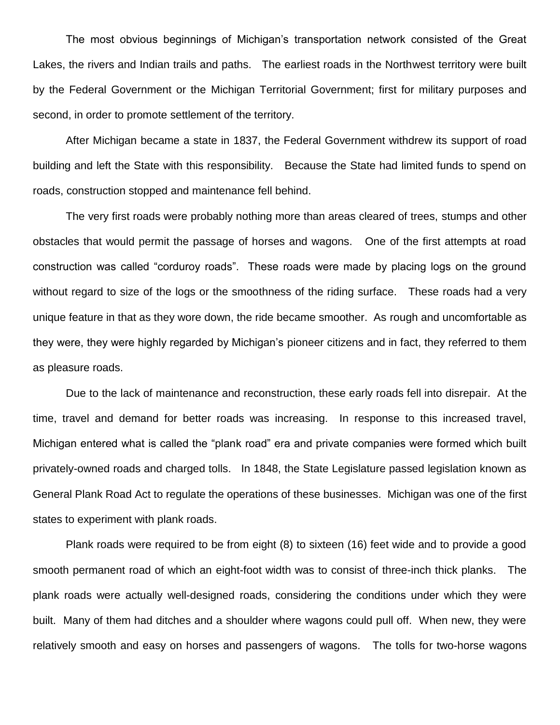The most obvious beginnings of Michigan's transportation network consisted of the Great Lakes, the rivers and Indian trails and paths. The earliest roads in the Northwest territory were built by the Federal Government or the Michigan Territorial Government; first for military purposes and second, in order to promote settlement of the territory.

After Michigan became a state in 1837, the Federal Government withdrew its support of road building and left the State with this responsibility. Because the State had limited funds to spend on roads, construction stopped and maintenance fell behind.

The very first roads were probably nothing more than areas cleared of trees, stumps and other obstacles that would permit the passage of horses and wagons. One of the first attempts at road construction was called "corduroy roads". These roads were made by placing logs on the ground without regard to size of the logs or the smoothness of the riding surface. These roads had a very unique feature in that as they wore down, the ride became smoother. As rough and uncomfortable as they were, they were highly regarded by Michigan's pioneer citizens and in fact, they referred to them as pleasure roads.

Due to the lack of maintenance and reconstruction, these early roads fell into disrepair. At the time, travel and demand for better roads was increasing. In response to this increased travel, Michigan entered what is called the "plank road" era and private companies were formed which built privately-owned roads and charged tolls. In 1848, the State Legislature passed legislation known as General Plank Road Act to regulate the operations of these businesses. Michigan was one of the first states to experiment with plank roads.

Plank roads were required to be from eight (8) to sixteen (16) feet wide and to provide a good smooth permanent road of which an eight-foot width was to consist of three-inch thick planks. The plank roads were actually well-designed roads, considering the conditions under which they were built. Many of them had ditches and a shoulder where wagons could pull off. When new, they were relatively smooth and easy on horses and passengers of wagons. The tolls for two-horse wagons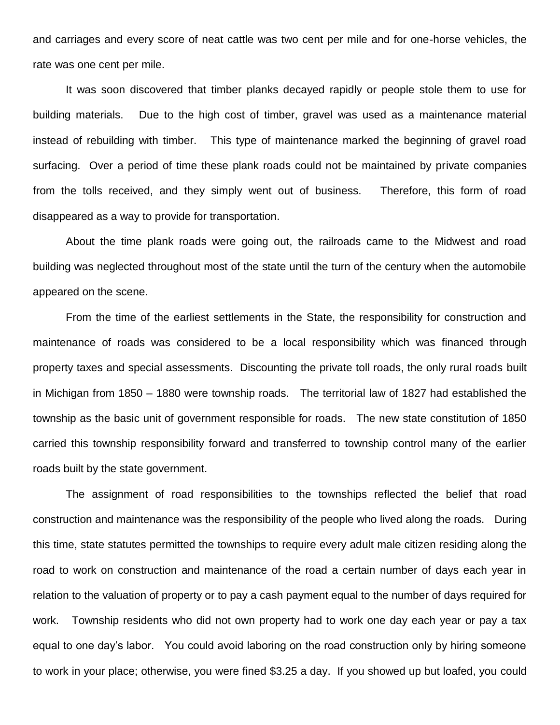and carriages and every score of neat cattle was two cent per mile and for one-horse vehicles, the rate was one cent per mile.

It was soon discovered that timber planks decayed rapidly or people stole them to use for building materials. Due to the high cost of timber, gravel was used as a maintenance material instead of rebuilding with timber. This type of maintenance marked the beginning of gravel road surfacing. Over a period of time these plank roads could not be maintained by private companies from the tolls received, and they simply went out of business. Therefore, this form of road disappeared as a way to provide for transportation.

About the time plank roads were going out, the railroads came to the Midwest and road building was neglected throughout most of the state until the turn of the century when the automobile appeared on the scene.

From the time of the earliest settlements in the State, the responsibility for construction and maintenance of roads was considered to be a local responsibility which was financed through property taxes and special assessments. Discounting the private toll roads, the only rural roads built in Michigan from 1850 – 1880 were township roads. The territorial law of 1827 had established the township as the basic unit of government responsible for roads. The new state constitution of 1850 carried this township responsibility forward and transferred to township control many of the earlier roads built by the state government.

The assignment of road responsibilities to the townships reflected the belief that road construction and maintenance was the responsibility of the people who lived along the roads. During this time, state statutes permitted the townships to require every adult male citizen residing along the road to work on construction and maintenance of the road a certain number of days each year in relation to the valuation of property or to pay a cash payment equal to the number of days required for work. Township residents who did not own property had to work one day each year or pay a tax equal to one day's labor. You could avoid laboring on the road construction only by hiring someone to work in your place; otherwise, you were fined \$3.25 a day. If you showed up but loafed, you could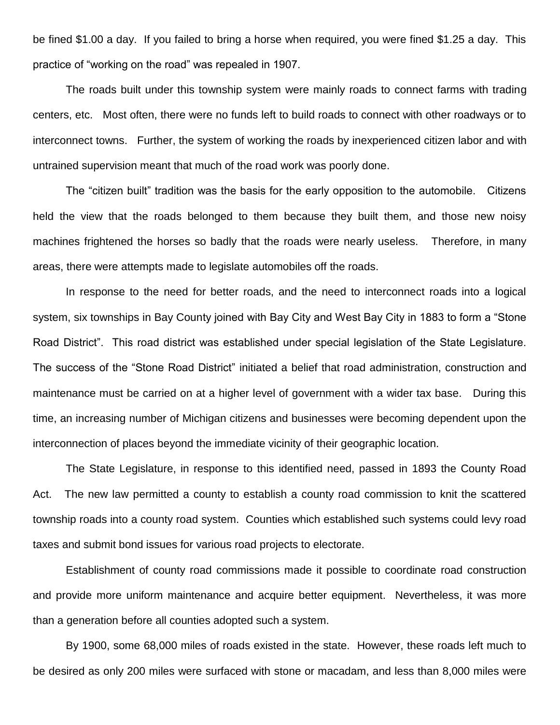be fined \$1.00 a day. If you failed to bring a horse when required, you were fined \$1.25 a day. This practice of "working on the road" was repealed in 1907.

The roads built under this township system were mainly roads to connect farms with trading centers, etc. Most often, there were no funds left to build roads to connect with other roadways or to interconnect towns. Further, the system of working the roads by inexperienced citizen labor and with untrained supervision meant that much of the road work was poorly done.

The "citizen built" tradition was the basis for the early opposition to the automobile. Citizens held the view that the roads belonged to them because they built them, and those new noisy machines frightened the horses so badly that the roads were nearly useless. Therefore, in many areas, there were attempts made to legislate automobiles off the roads.

In response to the need for better roads, and the need to interconnect roads into a logical system, six townships in Bay County joined with Bay City and West Bay City in 1883 to form a "Stone Road District". This road district was established under special legislation of the State Legislature. The success of the "Stone Road District" initiated a belief that road administration, construction and maintenance must be carried on at a higher level of government with a wider tax base. During this time, an increasing number of Michigan citizens and businesses were becoming dependent upon the interconnection of places beyond the immediate vicinity of their geographic location.

The State Legislature, in response to this identified need, passed in 1893 the County Road Act. The new law permitted a county to establish a county road commission to knit the scattered township roads into a county road system. Counties which established such systems could levy road taxes and submit bond issues for various road projects to electorate.

Establishment of county road commissions made it possible to coordinate road construction and provide more uniform maintenance and acquire better equipment. Nevertheless, it was more than a generation before all counties adopted such a system.

By 1900, some 68,000 miles of roads existed in the state. However, these roads left much to be desired as only 200 miles were surfaced with stone or macadam, and less than 8,000 miles were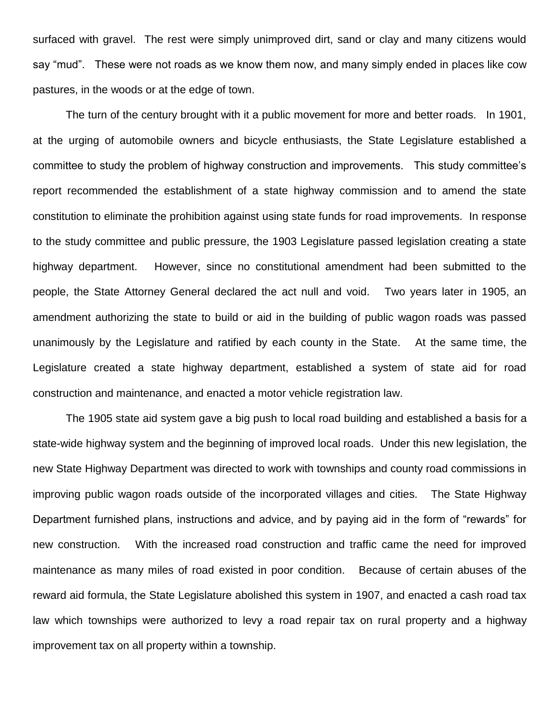surfaced with gravel. The rest were simply unimproved dirt, sand or clay and many citizens would say "mud". These were not roads as we know them now, and many simply ended in places like cow pastures, in the woods or at the edge of town.

The turn of the century brought with it a public movement for more and better roads. In 1901, at the urging of automobile owners and bicycle enthusiasts, the State Legislature established a committee to study the problem of highway construction and improvements. This study committee's report recommended the establishment of a state highway commission and to amend the state constitution to eliminate the prohibition against using state funds for road improvements. In response to the study committee and public pressure, the 1903 Legislature passed legislation creating a state highway department. However, since no constitutional amendment had been submitted to the people, the State Attorney General declared the act null and void. Two years later in 1905, an amendment authorizing the state to build or aid in the building of public wagon roads was passed unanimously by the Legislature and ratified by each county in the State. At the same time, the Legislature created a state highway department, established a system of state aid for road construction and maintenance, and enacted a motor vehicle registration law.

The 1905 state aid system gave a big push to local road building and established a basis for a state-wide highway system and the beginning of improved local roads. Under this new legislation, the new State Highway Department was directed to work with townships and county road commissions in improving public wagon roads outside of the incorporated villages and cities. The State Highway Department furnished plans, instructions and advice, and by paying aid in the form of "rewards" for new construction. With the increased road construction and traffic came the need for improved maintenance as many miles of road existed in poor condition. Because of certain abuses of the reward aid formula, the State Legislature abolished this system in 1907, and enacted a cash road tax law which townships were authorized to levy a road repair tax on rural property and a highway improvement tax on all property within a township.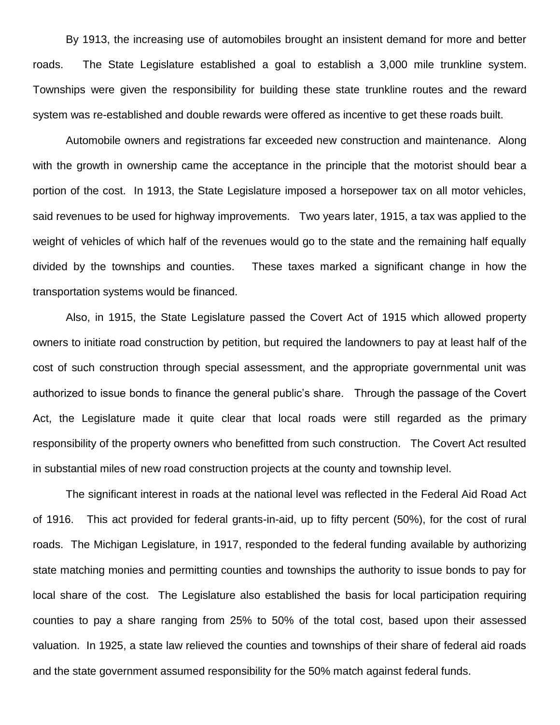By 1913, the increasing use of automobiles brought an insistent demand for more and better roads. The State Legislature established a goal to establish a 3,000 mile trunkline system. Townships were given the responsibility for building these state trunkline routes and the reward system was re-established and double rewards were offered as incentive to get these roads built.

Automobile owners and registrations far exceeded new construction and maintenance. Along with the growth in ownership came the acceptance in the principle that the motorist should bear a portion of the cost. In 1913, the State Legislature imposed a horsepower tax on all motor vehicles, said revenues to be used for highway improvements. Two years later, 1915, a tax was applied to the weight of vehicles of which half of the revenues would go to the state and the remaining half equally divided by the townships and counties. These taxes marked a significant change in how the transportation systems would be financed.

Also, in 1915, the State Legislature passed the Covert Act of 1915 which allowed property owners to initiate road construction by petition, but required the landowners to pay at least half of the cost of such construction through special assessment, and the appropriate governmental unit was authorized to issue bonds to finance the general public's share. Through the passage of the Covert Act, the Legislature made it quite clear that local roads were still regarded as the primary responsibility of the property owners who benefitted from such construction. The Covert Act resulted in substantial miles of new road construction projects at the county and township level.

The significant interest in roads at the national level was reflected in the Federal Aid Road Act of 1916. This act provided for federal grants-in-aid, up to fifty percent (50%), for the cost of rural roads. The Michigan Legislature, in 1917, responded to the federal funding available by authorizing state matching monies and permitting counties and townships the authority to issue bonds to pay for local share of the cost. The Legislature also established the basis for local participation requiring counties to pay a share ranging from 25% to 50% of the total cost, based upon their assessed valuation. In 1925, a state law relieved the counties and townships of their share of federal aid roads and the state government assumed responsibility for the 50% match against federal funds.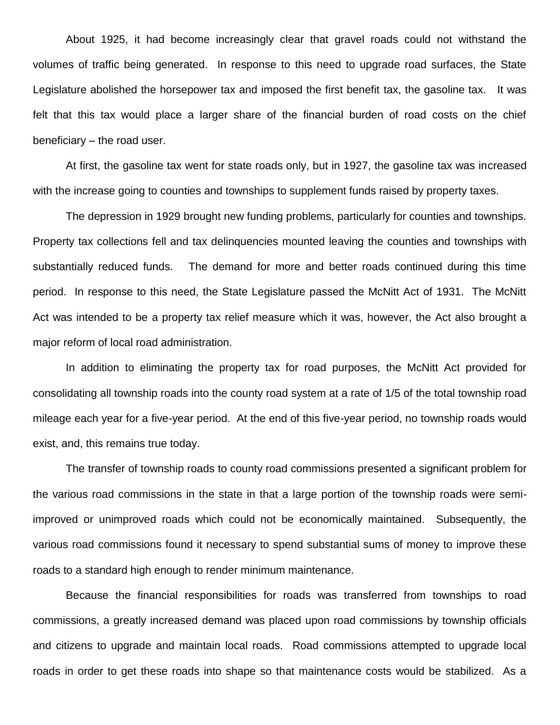About 1925, it had become increasingly clear that gravel roads could not withstand the volumes of traffic being generated. In response to this need to upgrade road surfaces, the State Legislature abolished the horsepower tax and imposed the first benefit tax, the gasoline tax. It was felt that this tax would place a larger share of the financial burden of road costs on the chief beneficiary – the road user.

At first, the gasoline tax went for state roads only, but in 1927, the gasoline tax was increased with the increase going to counties and townships to supplement funds raised by property taxes.

The depression in 1929 brought new funding problems, particularly for counties and townships. Property tax collections fell and tax delinquencies mounted leaving the counties and townships with substantially reduced funds. The demand for more and better roads continued during this time period. In response to this need, the State Legislature passed the McNitt Act of 1931. The McNitt Act was intended to be a property tax relief measure which it was, however, the Act also brought a major reform of local road administration.

In addition to eliminating the property tax for road purposes, the McNitt Act provided for consolidating all township roads into the county road system at a rate of 1/5 of the total township road mileage each year for a five-year period. At the end of this five-year period, no township roads would exist, and, this remains true today.

The transfer of township roads to county road commissions presented a significant problem for the various road commissions in the state in that a large portion of the township roads were semiimproved or unimproved roads which could not be economically maintained. Subsequently, the various road commissions found it necessary to spend substantial sums of money to improve these roads to a standard high enough to render minimum maintenance.

Because the financial responsibilities for roads was transferred from townships to road commissions, a greatly increased demand was placed upon road commissions by township officials and citizens to upgrade and maintain local roads. Road commissions attempted to upgrade local roads in order to get these roads into shape so that maintenance costs would be stabilized. As a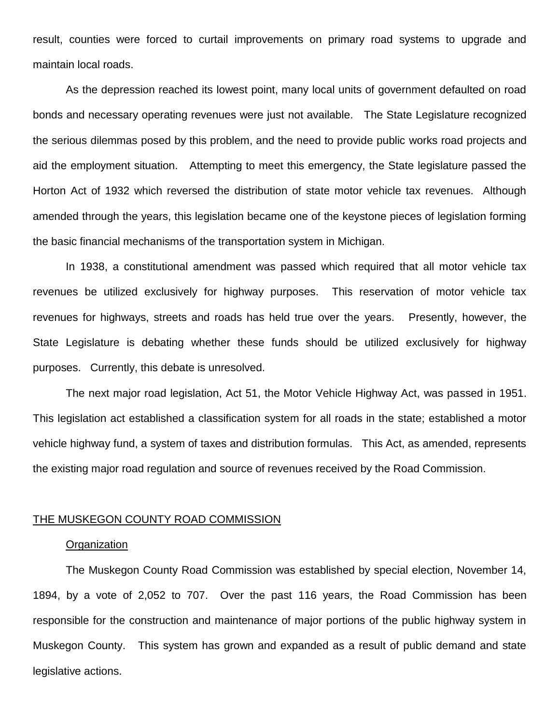result, counties were forced to curtail improvements on primary road systems to upgrade and maintain local roads.

As the depression reached its lowest point, many local units of government defaulted on road bonds and necessary operating revenues were just not available. The State Legislature recognized the serious dilemmas posed by this problem, and the need to provide public works road projects and aid the employment situation. Attempting to meet this emergency, the State legislature passed the Horton Act of 1932 which reversed the distribution of state motor vehicle tax revenues. Although amended through the years, this legislation became one of the keystone pieces of legislation forming the basic financial mechanisms of the transportation system in Michigan.

In 1938, a constitutional amendment was passed which required that all motor vehicle tax revenues be utilized exclusively for highway purposes. This reservation of motor vehicle tax revenues for highways, streets and roads has held true over the years. Presently, however, the State Legislature is debating whether these funds should be utilized exclusively for highway purposes. Currently, this debate is unresolved.

The next major road legislation, Act 51, the Motor Vehicle Highway Act, was passed in 1951. This legislation act established a classification system for all roads in the state; established a motor vehicle highway fund, a system of taxes and distribution formulas. This Act, as amended, represents the existing major road regulation and source of revenues received by the Road Commission.

### THE MUSKEGON COUNTY ROAD COMMISSION

# **Organization**

The Muskegon County Road Commission was established by special election, November 14, 1894, by a vote of 2,052 to 707. Over the past 116 years, the Road Commission has been responsible for the construction and maintenance of major portions of the public highway system in Muskegon County. This system has grown and expanded as a result of public demand and state legislative actions.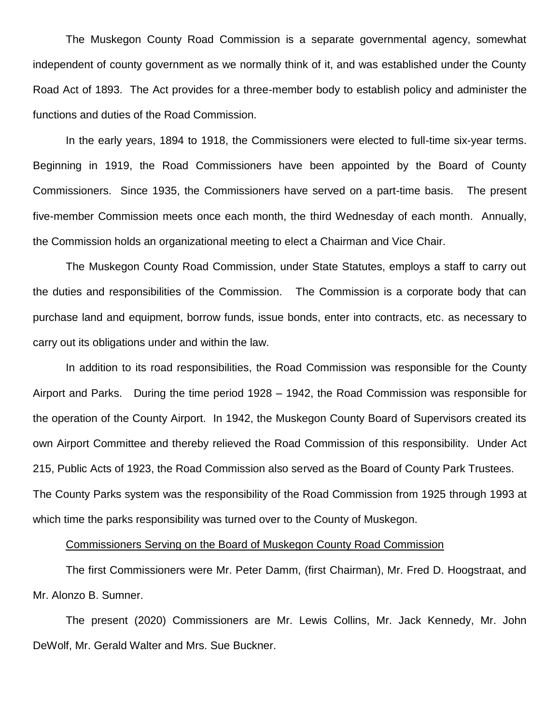The Muskegon County Road Commission is a separate governmental agency, somewhat independent of county government as we normally think of it, and was established under the County Road Act of 1893. The Act provides for a three-member body to establish policy and administer the functions and duties of the Road Commission.

In the early years, 1894 to 1918, the Commissioners were elected to full-time six-year terms. Beginning in 1919, the Road Commissioners have been appointed by the Board of County Commissioners. Since 1935, the Commissioners have served on a part-time basis. The present five-member Commission meets once each month, the third Wednesday of each month. Annually, the Commission holds an organizational meeting to elect a Chairman and Vice Chair.

The Muskegon County Road Commission, under State Statutes, employs a staff to carry out the duties and responsibilities of the Commission. The Commission is a corporate body that can purchase land and equipment, borrow funds, issue bonds, enter into contracts, etc. as necessary to carry out its obligations under and within the law.

In addition to its road responsibilities, the Road Commission was responsible for the County Airport and Parks. During the time period 1928 – 1942, the Road Commission was responsible for the operation of the County Airport. In 1942, the Muskegon County Board of Supervisors created its own Airport Committee and thereby relieved the Road Commission of this responsibility. Under Act 215, Public Acts of 1923, the Road Commission also served as the Board of County Park Trustees. The County Parks system was the responsibility of the Road Commission from 1925 through 1993 at which time the parks responsibility was turned over to the County of Muskegon.

## Commissioners Serving on the Board of Muskegon County Road Commission

The first Commissioners were Mr. Peter Damm, (first Chairman), Mr. Fred D. Hoogstraat, and Mr. Alonzo B. Sumner.

The present (2020) Commissioners are Mr. Lewis Collins, Mr. Jack Kennedy, Mr. John DeWolf, Mr. Gerald Walter and Mrs. Sue Buckner.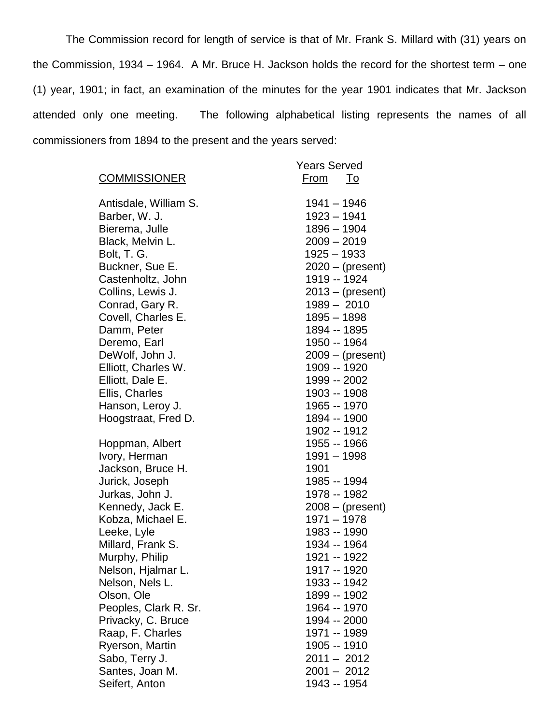The Commission record for length of service is that of Mr. Frank S. Millard with (31) years on the Commission, 1934 – 1964. A Mr. Bruce H. Jackson holds the record for the shortest term – one (1) year, 1901; in fact, an examination of the minutes for the year 1901 indicates that Mr. Jackson attended only one meeting. The following alphabetical listing represents the names of all commissioners from 1894 to the present and the years served:

|                       | <b>Years Served</b> |
|-----------------------|---------------------|
| <b>COMMISSIONER</b>   | From<br>To          |
| Antisdale, William S. | 1941 - 1946         |
| Barber, W. J.         | $1923 - 1941$       |
| Bierema, Julle        | 1896 - 1904         |
| Black, Melvin L.      | $2009 - 2019$       |
| Bolt, T. G.           | $1925 - 1933$       |
| Buckner, Sue E.       | $2020 - (present)$  |
| Castenholtz, John     | 1919 -- 1924        |
| Collins, Lewis J.     | $2013 - (present)$  |
| Conrad, Gary R.       | 1989 - 2010         |
| Covell, Charles E.    | $1895 - 1898$       |
| Damm, Peter           | 1894 -- 1895        |
| Deremo, Earl          | 1950 -- 1964        |
| DeWolf, John J.       | $2009 - (present)$  |
| Elliott, Charles W.   | 1909 -- 1920        |
| Elliott, Dale E.      | 1999 -- 2002        |
| Ellis, Charles        | 1903 -- 1908        |
| Hanson, Leroy J.      | 1965 -- 1970        |
| Hoogstraat, Fred D.   | 1894 -- 1900        |
|                       | 1902 -- 1912        |
| Hoppman, Albert       | 1955 -- 1966        |
| Ivory, Herman         | 1991 - 1998         |
| Jackson, Bruce H.     | 1901                |
| Jurick, Joseph        | 1985 -- 1994        |
| Jurkas, John J.       | 1978 -- 1982        |
| Kennedy, Jack E.      | $2008 - (present)$  |
| Kobza, Michael E.     | 1971 - 1978         |
| Leeke, Lyle           | 1983 -- 1990        |
| Millard, Frank S.     | 1934 -- 1964        |
| Murphy, Philip        | 1921 -- 1922        |
| Nelson, Hjalmar L     | 1917 -- 1920        |
| Nelson, Nels L.       | 1933 -- 1942        |
| Olson, Ole            | 1899 -- 1902        |
| Peoples, Clark R. Sr. | 1964 -- 1970        |
| Privacky, C. Bruce    | 1994 -- 2000        |
| Raap, F. Charles      | 1971 -- 1989        |
| Ryerson, Martin       | 1905 -- 1910        |
| Sabo, Terry J.        | 2011 - 2012         |
| Santes, Joan M.       | $2001 - 2012$       |
| Seifert, Anton        | 1943 -- 1954        |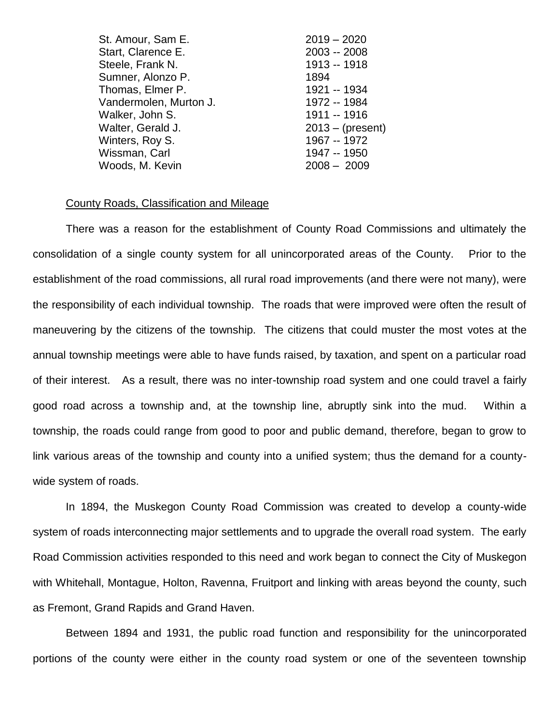| St. Amour, Sam E.      | $2019 - 2020$      |
|------------------------|--------------------|
| Start, Clarence E.     | 2003 -- 2008       |
| Steele, Frank N.       | 1913 -- 1918       |
| Sumner, Alonzo P.      | 1894               |
| Thomas, Elmer P.       | 1921 -- 1934       |
| Vandermolen, Murton J. | 1972 -- 1984       |
| Walker, John S.        | 1911 -- 1916       |
| Walter, Gerald J.      | $2013 - (present)$ |
| Winters, Roy S.        | 1967 -- 1972       |
| Wissman, Carl          | 1947 -- 1950       |
| Woods, M. Kevin        | $2008 - 2009$      |
|                        |                    |

#### County Roads, Classification and Mileage

There was a reason for the establishment of County Road Commissions and ultimately the consolidation of a single county system for all unincorporated areas of the County. Prior to the establishment of the road commissions, all rural road improvements (and there were not many), were the responsibility of each individual township. The roads that were improved were often the result of maneuvering by the citizens of the township. The citizens that could muster the most votes at the annual township meetings were able to have funds raised, by taxation, and spent on a particular road of their interest. As a result, there was no inter-township road system and one could travel a fairly good road across a township and, at the township line, abruptly sink into the mud. Within a township, the roads could range from good to poor and public demand, therefore, began to grow to link various areas of the township and county into a unified system; thus the demand for a countywide system of roads.

In 1894, the Muskegon County Road Commission was created to develop a county-wide system of roads interconnecting major settlements and to upgrade the overall road system. The early Road Commission activities responded to this need and work began to connect the City of Muskegon with Whitehall, Montague, Holton, Ravenna, Fruitport and linking with areas beyond the county, such as Fremont, Grand Rapids and Grand Haven.

Between 1894 and 1931, the public road function and responsibility for the unincorporated portions of the county were either in the county road system or one of the seventeen township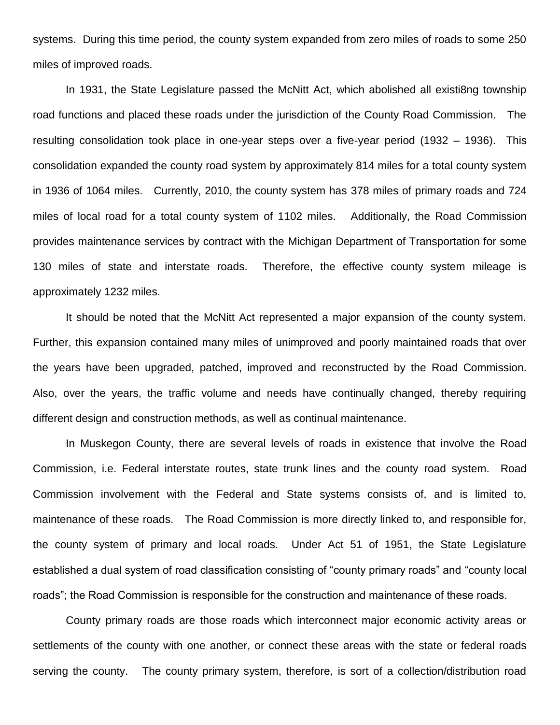systems. During this time period, the county system expanded from zero miles of roads to some 250 miles of improved roads.

In 1931, the State Legislature passed the McNitt Act, which abolished all existi8ng township road functions and placed these roads under the jurisdiction of the County Road Commission. The resulting consolidation took place in one-year steps over a five-year period (1932 – 1936). This consolidation expanded the county road system by approximately 814 miles for a total county system in 1936 of 1064 miles. Currently, 2010, the county system has 378 miles of primary roads and 724 miles of local road for a total county system of 1102 miles. Additionally, the Road Commission provides maintenance services by contract with the Michigan Department of Transportation for some 130 miles of state and interstate roads. Therefore, the effective county system mileage is approximately 1232 miles.

It should be noted that the McNitt Act represented a major expansion of the county system. Further, this expansion contained many miles of unimproved and poorly maintained roads that over the years have been upgraded, patched, improved and reconstructed by the Road Commission. Also, over the years, the traffic volume and needs have continually changed, thereby requiring different design and construction methods, as well as continual maintenance.

In Muskegon County, there are several levels of roads in existence that involve the Road Commission, i.e. Federal interstate routes, state trunk lines and the county road system. Road Commission involvement with the Federal and State systems consists of, and is limited to, maintenance of these roads. The Road Commission is more directly linked to, and responsible for, the county system of primary and local roads. Under Act 51 of 1951, the State Legislature established a dual system of road classification consisting of "county primary roads" and "county local roads"; the Road Commission is responsible for the construction and maintenance of these roads.

County primary roads are those roads which interconnect major economic activity areas or settlements of the county with one another, or connect these areas with the state or federal roads serving the county. The county primary system, therefore, is sort of a collection/distribution road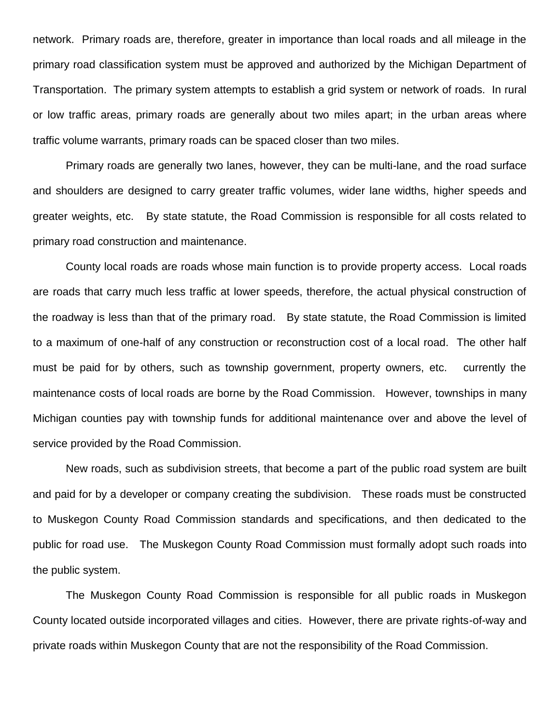network. Primary roads are, therefore, greater in importance than local roads and all mileage in the primary road classification system must be approved and authorized by the Michigan Department of Transportation. The primary system attempts to establish a grid system or network of roads. In rural or low traffic areas, primary roads are generally about two miles apart; in the urban areas where traffic volume warrants, primary roads can be spaced closer than two miles.

Primary roads are generally two lanes, however, they can be multi-lane, and the road surface and shoulders are designed to carry greater traffic volumes, wider lane widths, higher speeds and greater weights, etc. By state statute, the Road Commission is responsible for all costs related to primary road construction and maintenance.

County local roads are roads whose main function is to provide property access. Local roads are roads that carry much less traffic at lower speeds, therefore, the actual physical construction of the roadway is less than that of the primary road. By state statute, the Road Commission is limited to a maximum of one-half of any construction or reconstruction cost of a local road. The other half must be paid for by others, such as township government, property owners, etc. currently the maintenance costs of local roads are borne by the Road Commission. However, townships in many Michigan counties pay with township funds for additional maintenance over and above the level of service provided by the Road Commission.

New roads, such as subdivision streets, that become a part of the public road system are built and paid for by a developer or company creating the subdivision. These roads must be constructed to Muskegon County Road Commission standards and specifications, and then dedicated to the public for road use. The Muskegon County Road Commission must formally adopt such roads into the public system.

The Muskegon County Road Commission is responsible for all public roads in Muskegon County located outside incorporated villages and cities. However, there are private rights-of-way and private roads within Muskegon County that are not the responsibility of the Road Commission.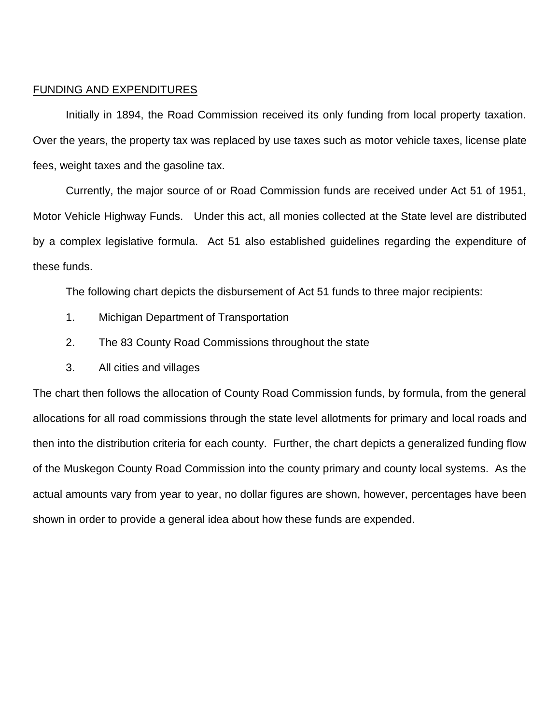### FUNDING AND EXPENDITURES

Initially in 1894, the Road Commission received its only funding from local property taxation. Over the years, the property tax was replaced by use taxes such as motor vehicle taxes, license plate fees, weight taxes and the gasoline tax.

Currently, the major source of or Road Commission funds are received under Act 51 of 1951, Motor Vehicle Highway Funds. Under this act, all monies collected at the State level are distributed by a complex legislative formula. Act 51 also established guidelines regarding the expenditure of these funds.

The following chart depicts the disbursement of Act 51 funds to three major recipients:

- 1. Michigan Department of Transportation
- 2. The 83 County Road Commissions throughout the state
- 3. All cities and villages

The chart then follows the allocation of County Road Commission funds, by formula, from the general allocations for all road commissions through the state level allotments for primary and local roads and then into the distribution criteria for each county. Further, the chart depicts a generalized funding flow of the Muskegon County Road Commission into the county primary and county local systems. As the actual amounts vary from year to year, no dollar figures are shown, however, percentages have been shown in order to provide a general idea about how these funds are expended.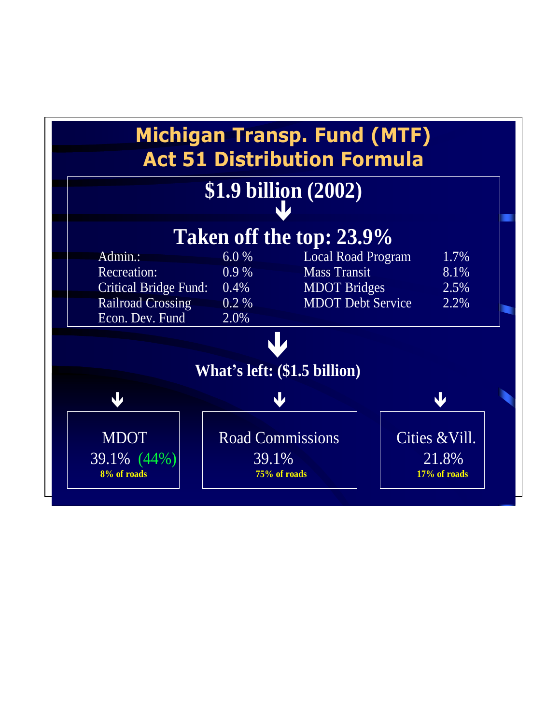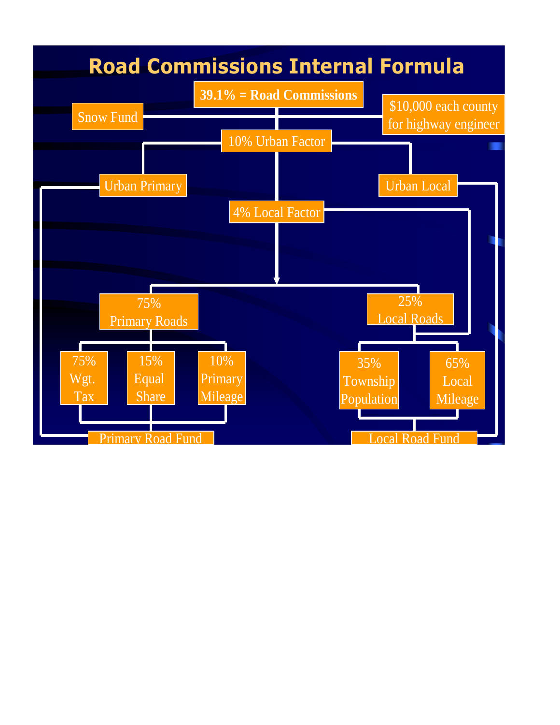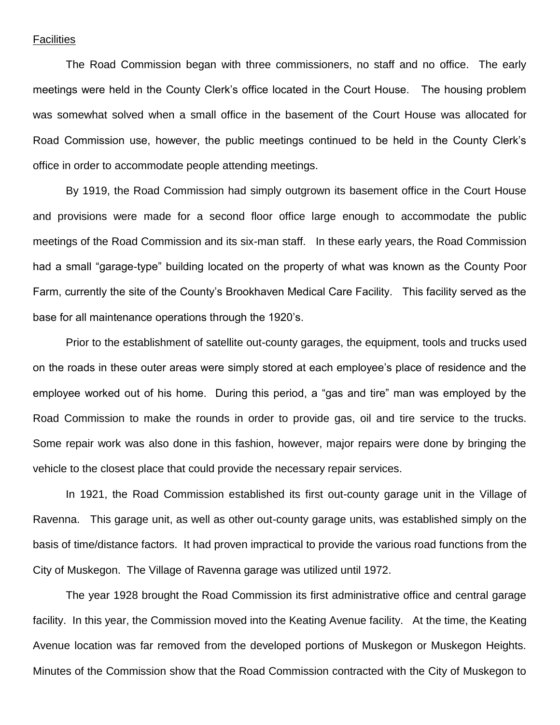### Facilities

The Road Commission began with three commissioners, no staff and no office. The early meetings were held in the County Clerk's office located in the Court House. The housing problem was somewhat solved when a small office in the basement of the Court House was allocated for Road Commission use, however, the public meetings continued to be held in the County Clerk's office in order to accommodate people attending meetings.

By 1919, the Road Commission had simply outgrown its basement office in the Court House and provisions were made for a second floor office large enough to accommodate the public meetings of the Road Commission and its six-man staff. In these early years, the Road Commission had a small "garage-type" building located on the property of what was known as the County Poor Farm, currently the site of the County's Brookhaven Medical Care Facility. This facility served as the base for all maintenance operations through the 1920's.

Prior to the establishment of satellite out-county garages, the equipment, tools and trucks used on the roads in these outer areas were simply stored at each employee's place of residence and the employee worked out of his home. During this period, a "gas and tire" man was employed by the Road Commission to make the rounds in order to provide gas, oil and tire service to the trucks. Some repair work was also done in this fashion, however, major repairs were done by bringing the vehicle to the closest place that could provide the necessary repair services.

In 1921, the Road Commission established its first out-county garage unit in the Village of Ravenna. This garage unit, as well as other out-county garage units, was established simply on the basis of time/distance factors. It had proven impractical to provide the various road functions from the City of Muskegon. The Village of Ravenna garage was utilized until 1972.

The year 1928 brought the Road Commission its first administrative office and central garage facility. In this year, the Commission moved into the Keating Avenue facility. At the time, the Keating Avenue location was far removed from the developed portions of Muskegon or Muskegon Heights. Minutes of the Commission show that the Road Commission contracted with the City of Muskegon to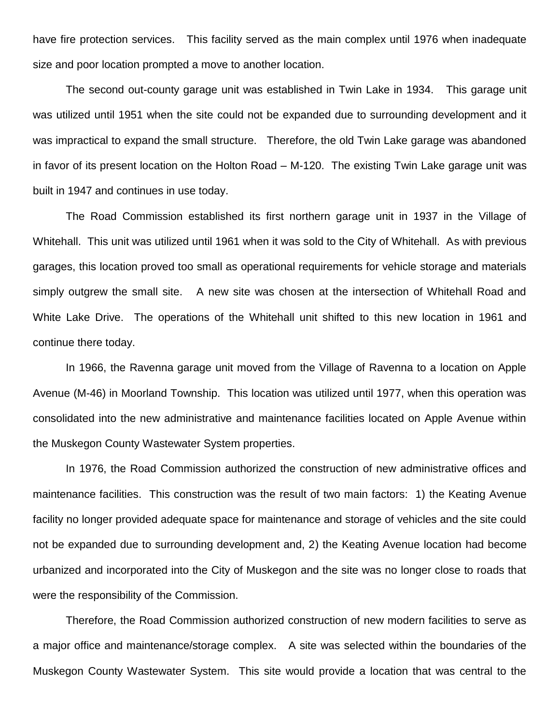have fire protection services. This facility served as the main complex until 1976 when inadequate size and poor location prompted a move to another location.

The second out-county garage unit was established in Twin Lake in 1934. This garage unit was utilized until 1951 when the site could not be expanded due to surrounding development and it was impractical to expand the small structure. Therefore, the old Twin Lake garage was abandoned in favor of its present location on the Holton Road – M-120. The existing Twin Lake garage unit was built in 1947 and continues in use today.

The Road Commission established its first northern garage unit in 1937 in the Village of Whitehall. This unit was utilized until 1961 when it was sold to the City of Whitehall. As with previous garages, this location proved too small as operational requirements for vehicle storage and materials simply outgrew the small site. A new site was chosen at the intersection of Whitehall Road and White Lake Drive. The operations of the Whitehall unit shifted to this new location in 1961 and continue there today.

In 1966, the Ravenna garage unit moved from the Village of Ravenna to a location on Apple Avenue (M-46) in Moorland Township. This location was utilized until 1977, when this operation was consolidated into the new administrative and maintenance facilities located on Apple Avenue within the Muskegon County Wastewater System properties.

In 1976, the Road Commission authorized the construction of new administrative offices and maintenance facilities. This construction was the result of two main factors: 1) the Keating Avenue facility no longer provided adequate space for maintenance and storage of vehicles and the site could not be expanded due to surrounding development and, 2) the Keating Avenue location had become urbanized and incorporated into the City of Muskegon and the site was no longer close to roads that were the responsibility of the Commission.

Therefore, the Road Commission authorized construction of new modern facilities to serve as a major office and maintenance/storage complex. A site was selected within the boundaries of the Muskegon County Wastewater System. This site would provide a location that was central to the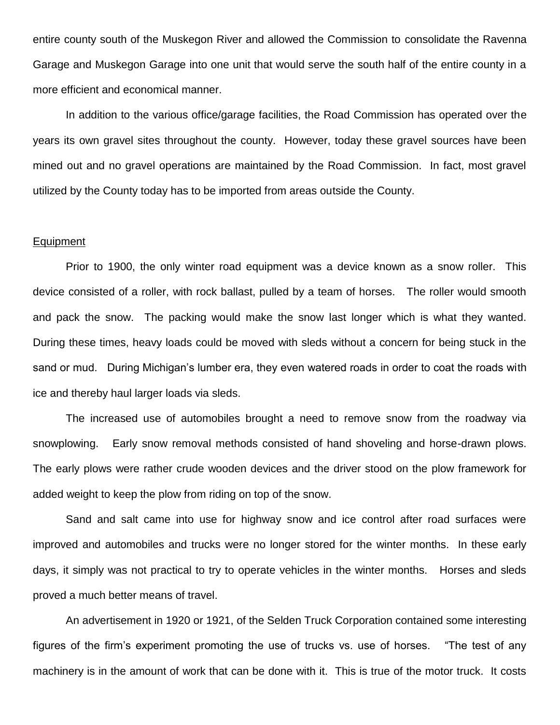entire county south of the Muskegon River and allowed the Commission to consolidate the Ravenna Garage and Muskegon Garage into one unit that would serve the south half of the entire county in a more efficient and economical manner.

In addition to the various office/garage facilities, the Road Commission has operated over the years its own gravel sites throughout the county. However, today these gravel sources have been mined out and no gravel operations are maintained by the Road Commission. In fact, most gravel utilized by the County today has to be imported from areas outside the County.

### Equipment

Prior to 1900, the only winter road equipment was a device known as a snow roller. This device consisted of a roller, with rock ballast, pulled by a team of horses. The roller would smooth and pack the snow. The packing would make the snow last longer which is what they wanted. During these times, heavy loads could be moved with sleds without a concern for being stuck in the sand or mud. During Michigan's lumber era, they even watered roads in order to coat the roads with ice and thereby haul larger loads via sleds.

The increased use of automobiles brought a need to remove snow from the roadway via snowplowing. Early snow removal methods consisted of hand shoveling and horse-drawn plows. The early plows were rather crude wooden devices and the driver stood on the plow framework for added weight to keep the plow from riding on top of the snow.

Sand and salt came into use for highway snow and ice control after road surfaces were improved and automobiles and trucks were no longer stored for the winter months. In these early days, it simply was not practical to try to operate vehicles in the winter months. Horses and sleds proved a much better means of travel.

An advertisement in 1920 or 1921, of the Selden Truck Corporation contained some interesting figures of the firm's experiment promoting the use of trucks vs. use of horses. "The test of any machinery is in the amount of work that can be done with it. This is true of the motor truck. It costs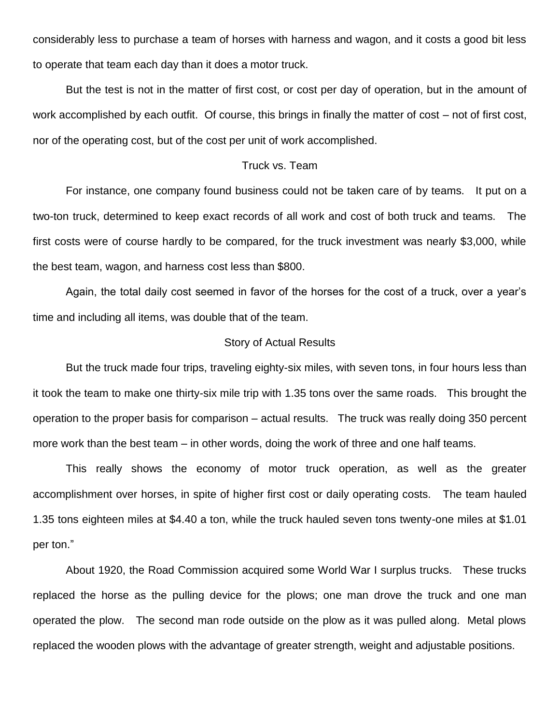considerably less to purchase a team of horses with harness and wagon, and it costs a good bit less to operate that team each day than it does a motor truck.

But the test is not in the matter of first cost, or cost per day of operation, but in the amount of work accomplished by each outfit. Of course, this brings in finally the matter of cost – not of first cost, nor of the operating cost, but of the cost per unit of work accomplished.

# Truck vs. Team

For instance, one company found business could not be taken care of by teams. It put on a two-ton truck, determined to keep exact records of all work and cost of both truck and teams. The first costs were of course hardly to be compared, for the truck investment was nearly \$3,000, while the best team, wagon, and harness cost less than \$800.

Again, the total daily cost seemed in favor of the horses for the cost of a truck, over a year's time and including all items, was double that of the team.

## Story of Actual Results

But the truck made four trips, traveling eighty-six miles, with seven tons, in four hours less than it took the team to make one thirty-six mile trip with 1.35 tons over the same roads. This brought the operation to the proper basis for comparison – actual results. The truck was really doing 350 percent more work than the best team – in other words, doing the work of three and one half teams.

This really shows the economy of motor truck operation, as well as the greater accomplishment over horses, in spite of higher first cost or daily operating costs. The team hauled 1.35 tons eighteen miles at \$4.40 a ton, while the truck hauled seven tons twenty-one miles at \$1.01 per ton."

About 1920, the Road Commission acquired some World War I surplus trucks. These trucks replaced the horse as the pulling device for the plows; one man drove the truck and one man operated the plow. The second man rode outside on the plow as it was pulled along. Metal plows replaced the wooden plows with the advantage of greater strength, weight and adjustable positions.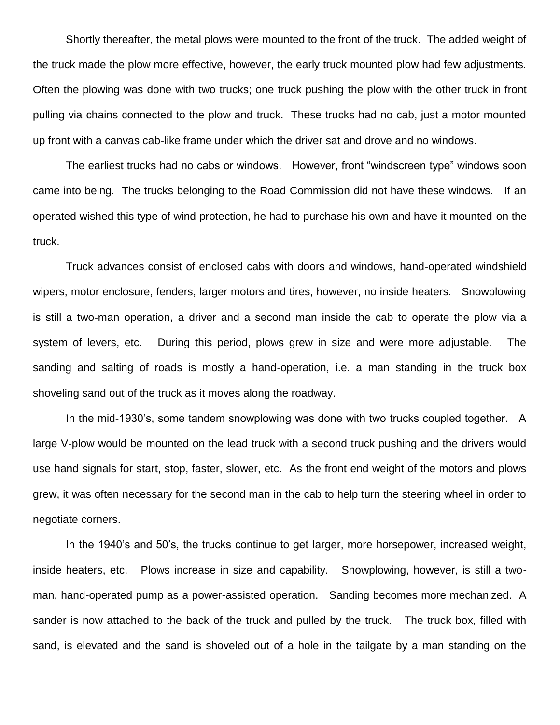Shortly thereafter, the metal plows were mounted to the front of the truck. The added weight of the truck made the plow more effective, however, the early truck mounted plow had few adjustments. Often the plowing was done with two trucks; one truck pushing the plow with the other truck in front pulling via chains connected to the plow and truck. These trucks had no cab, just a motor mounted up front with a canvas cab-like frame under which the driver sat and drove and no windows.

The earliest trucks had no cabs or windows. However, front "windscreen type" windows soon came into being. The trucks belonging to the Road Commission did not have these windows. If an operated wished this type of wind protection, he had to purchase his own and have it mounted on the truck.

Truck advances consist of enclosed cabs with doors and windows, hand-operated windshield wipers, motor enclosure, fenders, larger motors and tires, however, no inside heaters. Snowplowing is still a two-man operation, a driver and a second man inside the cab to operate the plow via a system of levers, etc. During this period, plows grew in size and were more adjustable. The sanding and salting of roads is mostly a hand-operation, i.e. a man standing in the truck box shoveling sand out of the truck as it moves along the roadway.

In the mid-1930's, some tandem snowplowing was done with two trucks coupled together. A large V-plow would be mounted on the lead truck with a second truck pushing and the drivers would use hand signals for start, stop, faster, slower, etc. As the front end weight of the motors and plows grew, it was often necessary for the second man in the cab to help turn the steering wheel in order to negotiate corners.

In the 1940's and 50's, the trucks continue to get larger, more horsepower, increased weight, inside heaters, etc. Plows increase in size and capability. Snowplowing, however, is still a twoman, hand-operated pump as a power-assisted operation. Sanding becomes more mechanized. A sander is now attached to the back of the truck and pulled by the truck. The truck box, filled with sand, is elevated and the sand is shoveled out of a hole in the tailgate by a man standing on the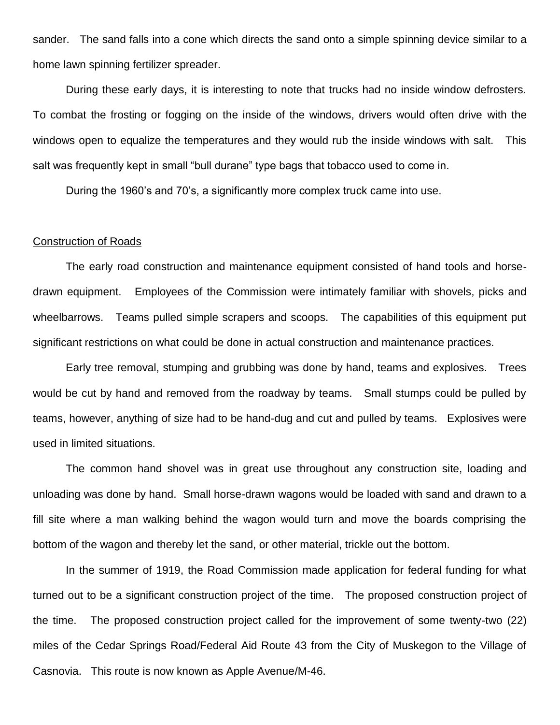sander. The sand falls into a cone which directs the sand onto a simple spinning device similar to a home lawn spinning fertilizer spreader.

During these early days, it is interesting to note that trucks had no inside window defrosters. To combat the frosting or fogging on the inside of the windows, drivers would often drive with the windows open to equalize the temperatures and they would rub the inside windows with salt. This salt was frequently kept in small "bull durane" type bags that tobacco used to come in.

During the 1960's and 70's, a significantly more complex truck came into use.

## Construction of Roads

The early road construction and maintenance equipment consisted of hand tools and horsedrawn equipment. Employees of the Commission were intimately familiar with shovels, picks and wheelbarrows. Teams pulled simple scrapers and scoops. The capabilities of this equipment put significant restrictions on what could be done in actual construction and maintenance practices.

Early tree removal, stumping and grubbing was done by hand, teams and explosives. Trees would be cut by hand and removed from the roadway by teams. Small stumps could be pulled by teams, however, anything of size had to be hand-dug and cut and pulled by teams. Explosives were used in limited situations.

The common hand shovel was in great use throughout any construction site, loading and unloading was done by hand. Small horse-drawn wagons would be loaded with sand and drawn to a fill site where a man walking behind the wagon would turn and move the boards comprising the bottom of the wagon and thereby let the sand, or other material, trickle out the bottom.

In the summer of 1919, the Road Commission made application for federal funding for what turned out to be a significant construction project of the time. The proposed construction project of the time. The proposed construction project called for the improvement of some twenty-two (22) miles of the Cedar Springs Road/Federal Aid Route 43 from the City of Muskegon to the Village of Casnovia. This route is now known as Apple Avenue/M-46.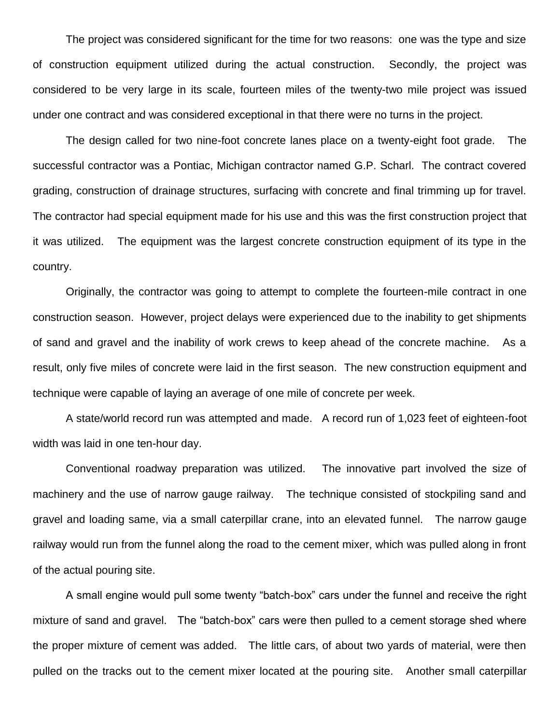The project was considered significant for the time for two reasons: one was the type and size of construction equipment utilized during the actual construction. Secondly, the project was considered to be very large in its scale, fourteen miles of the twenty-two mile project was issued under one contract and was considered exceptional in that there were no turns in the project.

The design called for two nine-foot concrete lanes place on a twenty-eight foot grade. The successful contractor was a Pontiac, Michigan contractor named G.P. Scharl. The contract covered grading, construction of drainage structures, surfacing with concrete and final trimming up for travel. The contractor had special equipment made for his use and this was the first construction project that it was utilized. The equipment was the largest concrete construction equipment of its type in the country.

Originally, the contractor was going to attempt to complete the fourteen-mile contract in one construction season. However, project delays were experienced due to the inability to get shipments of sand and gravel and the inability of work crews to keep ahead of the concrete machine. As a result, only five miles of concrete were laid in the first season. The new construction equipment and technique were capable of laying an average of one mile of concrete per week.

A state/world record run was attempted and made. A record run of 1,023 feet of eighteen-foot width was laid in one ten-hour day.

Conventional roadway preparation was utilized. The innovative part involved the size of machinery and the use of narrow gauge railway. The technique consisted of stockpiling sand and gravel and loading same, via a small caterpillar crane, into an elevated funnel. The narrow gauge railway would run from the funnel along the road to the cement mixer, which was pulled along in front of the actual pouring site.

A small engine would pull some twenty "batch-box" cars under the funnel and receive the right mixture of sand and gravel. The "batch-box" cars were then pulled to a cement storage shed where the proper mixture of cement was added. The little cars, of about two yards of material, were then pulled on the tracks out to the cement mixer located at the pouring site. Another small caterpillar